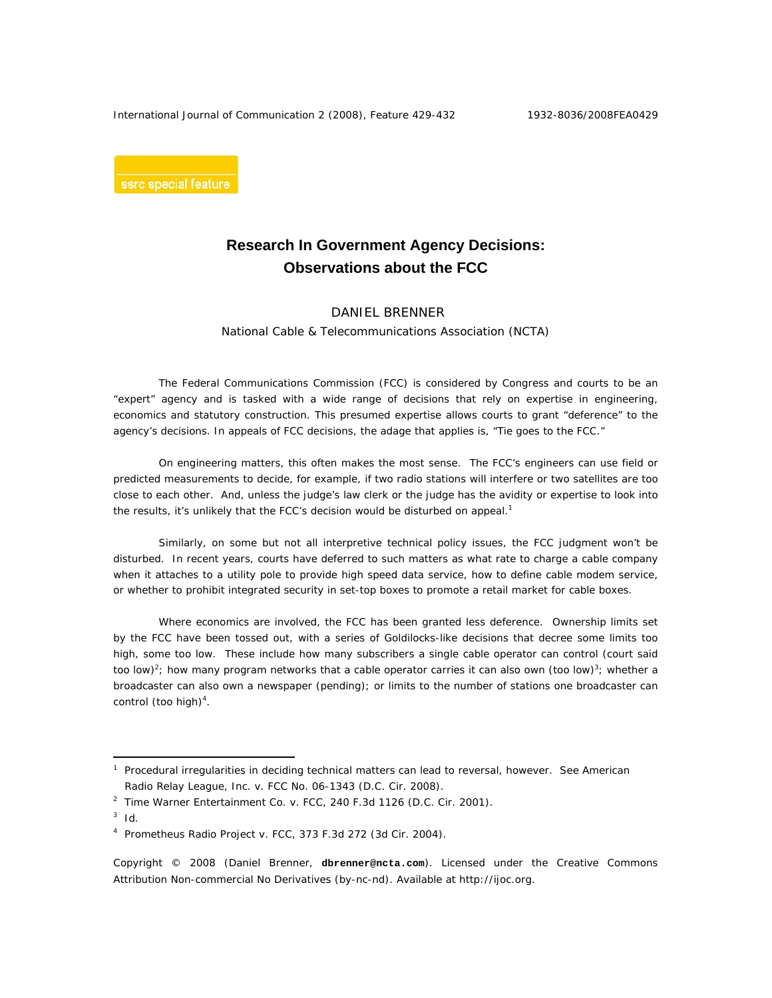International Journal of Communication 2 (2008), Feature 429-432 1932-8036/2008FEA0429

ssrc special feature

## **Research In Government Agency Decisions: Observations about the FCC**

## DANIEL BRENNER National Cable & Telecommunications Association (NCTA)

 The Federal Communications Commission (FCC) is considered by Congress and courts to be an "expert" agency and is tasked with a wide range of decisions that rely on expertise in engineering, economics and statutory construction. This presumed expertise allows courts to grant "deference" to the agency's decisions. In appeals of FCC decisions, the adage that applies is, "Tie goes to the FCC."

On engineering matters, this often makes the most sense. The FCC's engineers can use field or predicted measurements to decide, for example, if two radio stations will interfere or two satellites are too close to each other. And, unless the judge's law clerk or the judge has the avidity or expertise to look into the results, it's unlikely that the FCC's decision would be disturbed on appeal.<sup>1</sup>

Similarly, on some but not all interpretive technical policy issues, the FCC judgment won't be disturbed. In recent years, courts have deferred to such matters as what rate to charge a cable company when it attaches to a utility pole to provide high speed data service, how to define cable modem service, or whether to prohibit integrated security in set-top boxes to promote a retail market for cable boxes.

Where economics are involved, the FCC has been granted less deference. Ownership limits set by the FCC have been tossed out, with a series of Goldilocks-like decisions that decree some limits too high, some too low. These include how many subscribers a single cable operator can control (court said too low)<sup>2</sup>; how many program networks that a cable operator carries it can also own (too low)<sup>3</sup>; whether a broadcaster can also own a newspaper (pending); or limits to the number of stations one broadcaster can control (too high) $4$ .

 $\overline{a}$ 

Copyright © 2008 (Daniel Brenner, **dbrenner@ncta.com**). Licensed under the Creative Commons Attribution Non-commercial No Derivatives (by-nc-nd). Available at http://ijoc.org.

<sup>&</sup>lt;sup>1</sup> Procedural irregularities in deciding technical matters can lead to reversal, however. See American Radio Relay League, Inc. v. FCC No. 06-1343 (D.C. Cir. 2008).

<sup>&</sup>lt;sup>2</sup> Time Warner Entertainment Co. v. FCC, 240 F.3d 1126 (D.C. Cir. 2001).

 $3$  Id.

<sup>4</sup> Prometheus Radio Project v. FCC, 373 F.3d 272 (3d Cir. 2004).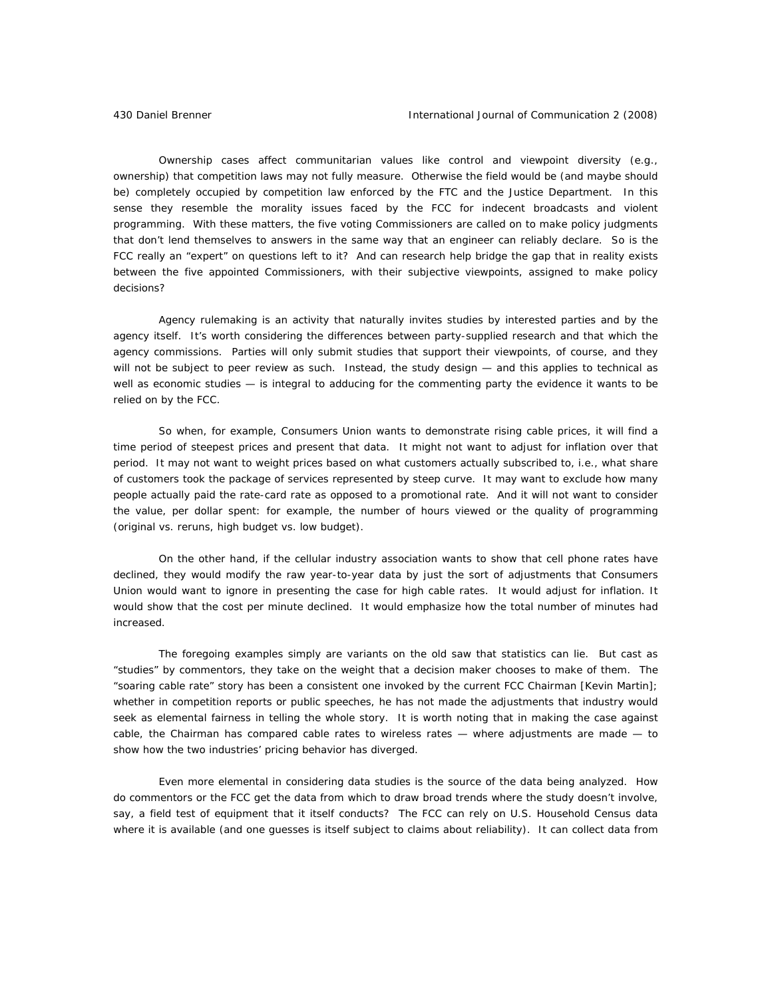Ownership cases affect communitarian values like control and viewpoint diversity (e.g., ownership) that competition laws may not fully measure. Otherwise the field would be (and maybe should be) completely occupied by competition law enforced by the FTC and the Justice Department. In this sense they resemble the morality issues faced by the FCC for indecent broadcasts and violent programming. With these matters, the five voting Commissioners are called on to make policy judgments that don't lend themselves to answers in the same way that an engineer can reliably declare. So is the FCC really an "expert" on questions left to it? And can research help bridge the gap that in reality exists between the five appointed Commissioners, with their subjective viewpoints, assigned to make policy decisions?

Agency rulemaking is an activity that naturally invites studies by interested parties and by the agency itself. It's worth considering the differences between party-supplied research and that which the agency commissions. Parties will only submit studies that support their viewpoints, of course, and they will not be subject to peer review as such. Instead, the study design - and this applies to technical as well as economic studies — is integral to adducing for the commenting party the evidence it wants to be relied on by the FCC.

So when, for example, Consumers Union wants to demonstrate rising cable prices, it will find a time period of steepest prices and present that data. It might not want to adjust for inflation over that period. It may not want to weight prices based on what customers actually subscribed to, i.e., what share of customers took the package of services represented by steep curve. It may want to exclude how many people actually paid the rate-card rate as opposed to a promotional rate. And it will not want to consider the value, per dollar spent: for example, the number of hours viewed or the quality of programming (original vs. reruns, high budget vs. low budget).

On the other hand, if the cellular industry association wants to show that cell phone rates have declined, they would modify the raw year-to-year data by just the sort of adjustments that Consumers Union would want to ignore in presenting the case for high cable rates. It would adjust for inflation. It would show that the cost per minute declined. It would emphasize how the total number of minutes had increased.

The foregoing examples simply are variants on the old saw that statistics can lie. But cast as "studies" by commentors, they take on the weight that a decision maker chooses to make of them. The "soaring cable rate" story has been a consistent one invoked by the current FCC Chairman [Kevin Martin]; whether in competition reports or public speeches, he has not made the adjustments that industry would seek as elemental fairness in telling the whole story. It is worth noting that in making the case against cable, the Chairman has compared cable rates to wireless rates — where adjustments *are* made — to show how the two industries' pricing behavior has diverged.

Even more elemental in considering data studies is the source of the data being analyzed. How do commentors or the FCC get the data from which to draw broad trends where the study doesn't involve, say, a field test of equipment that it itself conducts? The FCC can rely on U.S. Household Census data where it is available (and one guesses is itself subject to claims about reliability). It can collect data from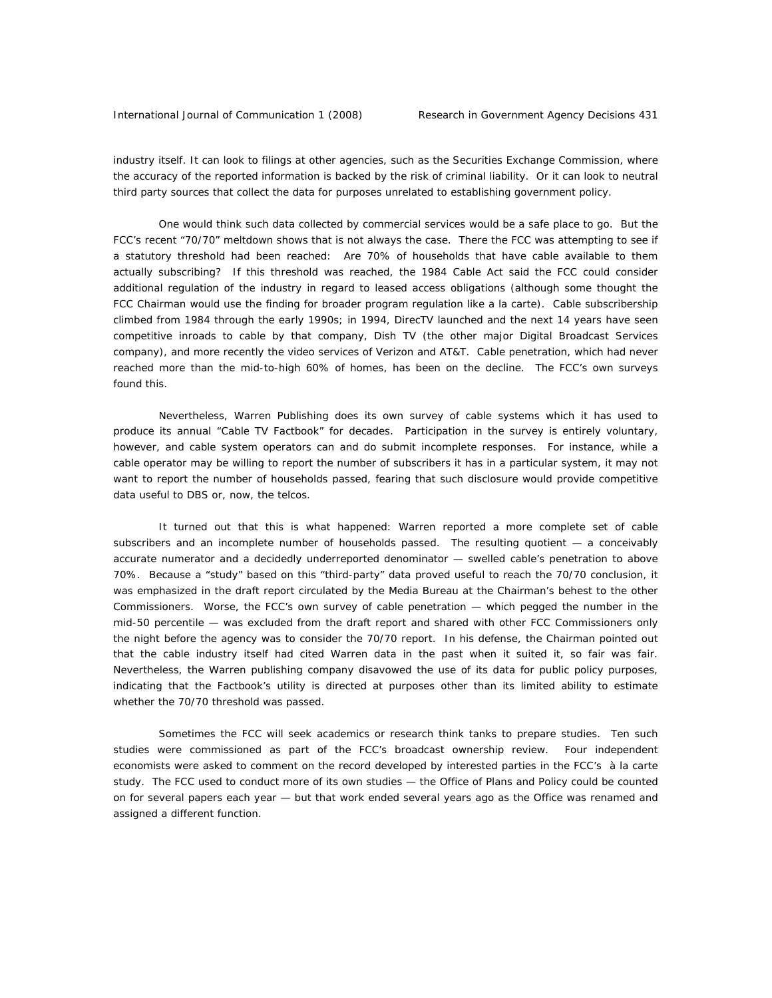industry itself. It can look to filings at other agencies, such as the Securities Exchange Commission, where the accuracy of the reported information is backed by the risk of criminal liability. Or it can look to neutral third party sources that collect the data for purposes unrelated to establishing government policy.

One would think such data collected by commercial services would be a safe place to go. But the FCC's recent "70/70" meltdown shows that is not always the case. There the FCC was attempting to see if a statutory threshold had been reached: Are 70% of households that have cable available to them actually subscribing? If this threshold was reached, the 1984 Cable Act said the FCC could consider additional regulation of the industry in regard to leased access obligations (although some thought the FCC Chairman would use the finding for broader program regulation like a la carte). Cable subscribership climbed from 1984 through the early 1990s; in 1994, DirecTV launched and the next 14 years have seen competitive inroads to cable by that company, Dish TV (the other major Digital Broadcast Services company), and more recently the video services of Verizon and AT&T. Cable penetration, which had never reached more than the mid-to-high 60% of homes, has been on the decline. The FCC's own surveys found this.

Nevertheless, Warren Publishing does its own survey of cable systems which it has used to produce its annual "Cable TV Factbook" for decades. Participation in the survey is entirely voluntary, however, and cable system operators can and do submit incomplete responses. For instance, while a cable operator may be willing to report the number of subscribers it has in a particular system, it may not want to report the number of households passed, fearing that such disclosure would provide competitive data useful to DBS or, now, the telcos.

It turned out that this is what happened: Warren reported a more complete set of cable subscribers and an incomplete number of households passed. The resulting quotient — a conceivably accurate numerator and a decidedly underreported denominator — swelled cable's penetration to above 70%. Because a "study" based on this "third-party" data proved useful to reach the 70/70 conclusion, it was emphasized in the draft report circulated by the Media Bureau at the Chairman's behest to the other Commissioners. Worse, the FCC's own survey of cable penetration — which pegged the number in the mid-50 percentile — was excluded from the draft report and shared with other FCC Commissioners only the night before the agency was to consider the 70/70 report. In his defense, the Chairman pointed out that the cable industry itself had cited Warren data in the past when it suited it, so fair was fair. Nevertheless, the Warren publishing company disavowed the use of its data for public policy purposes, indicating that the Factbook's utility is directed at purposes other than its limited ability to estimate whether the 70/70 threshold was passed.

Sometimes the FCC will seek academics or research think tanks to prepare studies. Ten such studies were commissioned as part of the FCC's broadcast ownership review. Four independent economists were asked to comment on the record developed by interested parties in the FCC's à la carte study. The FCC used to conduct more of its own studies — the Office of Plans and Policy could be counted on for several papers each year — but that work ended several years ago as the Office was renamed and assigned a different function.